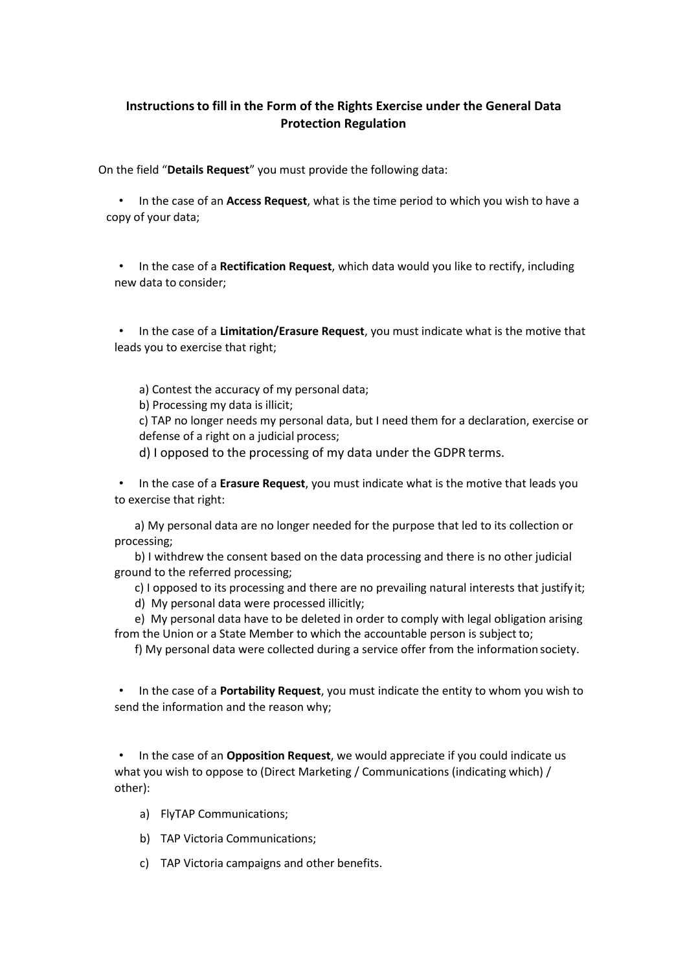## **Instructions to fill in the Form of the Rights Exercise under the General Data Protection Regulation**

On the field "**Details Request**" you must provide the following data:

• In the case of an **Access Request**, what is the time period to which you wish to have a copy of your data;

• In the case of a **Rectification Request**, which data would you like to rectify, including new data to consider;

• In the case of a **Limitation/Erasure Request**, you must indicate what is the motive that leads you to exercise that right;

a) Contest the accuracy of my personal data;

b) Processing my data is illicit;

c) TAP no longer needs my personal data, but I need them for a declaration, exercise or defense of a right on a judicial process;

d) I opposed to the processing of my data under the GDPR terms.

• In the case of a **Erasure Request**, you must indicate what is the motive that leads you to exercise that right:

a) My personal data are no longer needed for the purpose that led to its collection or processing;

b) I withdrew the consent based on the data processing and there is no other judicial ground to the referred processing;

c) I opposed to its processing and there are no prevailing natural interests that justify it; d) My personal data were processed illicitly;

e) My personal data have to be deleted in order to comply with legal obligation arising from the Union or a State Member to which the accountable person is subject to;

f) My personal data were collected during a service offer from the information society.

• In the case of a **Portability Request**, you must indicate the entity to whom you wish to send the information and the reason why;

• In the case of an **Opposition Request**, we would appreciate if you could indicate us what you wish to oppose to (Direct Marketing / Communications (indicating which) / other):

- a) FlyTAP Communications;
- b) TAP Victoria Communications;
- c) TAP Victoria campaigns and other benefits.